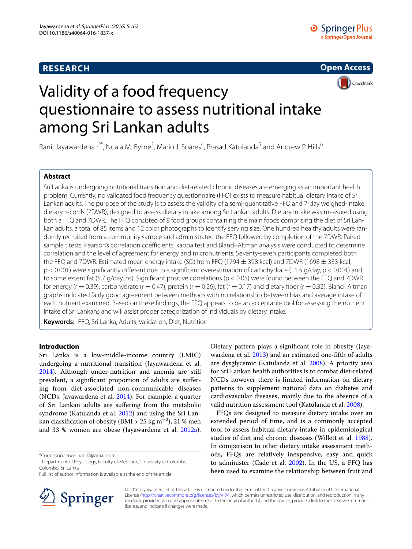# **RESEARCH**

**Open Access CrossMark** 

# Validity of a food frequency questionnaire to assess nutritional intake among Sri Lankan adults

Ranil Jayawardena<sup>1,2\*</sup>, Nuala M. Byrne<sup>3</sup>, Mario J. Soares<sup>4</sup>, Prasad Katulanda<sup>5</sup> and Andrew P. Hills<sup>6</sup>

## **Abstract**

Sri Lanka is undergoing nutritional transition and diet-related chronic diseases are emerging as an important health problem. Currently, no validated food frequency questionnaire (FFQ) exists to measure habitual dietary intake of Sri Lankan adults. The purpose of the study is to assess the validity of a semi-quantitative FFQ and 7-day weighed-intake dietary records (7DWR), designed to assess dietary intake among Sri Lankan adults. Dietary intake was measured using both a FFQ and 7DWR. The FFQ consisted of 8 food groups containing the main foods comprising the diet of Sri Lankan adults, a total of 85 items and 12 color photographs to identify serving size. One hundred healthy adults were randomly recruited from a community sample and administrated the FFQ followed by completion of the 7DWR. Paired sample t tests, Pearson's correlation coefficients, kappa test and Bland–Altman analysis were conducted to determine correlation and the level of agreement for energy and micronutrients. Seventy-seven participants completed both the FFQ and 7DWR. Estimated mean energy intake (SD) from FFQ (1794 ± 398 kcal) and 7DWR (1698 ± 333 kcal, p < 0.001) were significantly different due to a significant overestimation of carbohydrate (11.5 g/day, p < 0.001) and to some extent fat (5.7 g/day, ns). Significant positive correlations (p < 0.05) were found between the FFQ and 7DWR for energy (r = 0.39), carbohydrate (r = 0.47), protein (r = 0.26), fat (r = 0.17) and dietary fiber (r = 0.32). Bland–Altman graphs indicated fairly good agreement between methods with no relationship between bias and average intake of each nutrient examined. Based on these findings, the FFQ appears to be an acceptable tool for assessing the nutrient intake of Sri Lankans and will assist proper categorization of individuals by dietary intake.

**Keywords:** FFQ, Sri Lanka, Adults, Validation, Diet, Nutrition

## **Introduction**

Sri Lanka is a low-middle-income country (LMIC) undergoing a nutritional transition (Jayawardena et al. [2014](#page-5-0)). Although under-nutrition and anemia are still prevalent, a significant proportion of adults are suffering from diet-associated non-communicable diseases (NCDs; Jayawardena et al. [2014\)](#page-5-0). For example, a quarter of Sri Lankan adults are suffering from the metabolic syndrome (Katulanda et al. [2012](#page-5-1)) and using the Sri Lankan classification of obesity (BMI > 25 kg m $^{-2}$ ), 21 % men and 33 % women are obese (Jayawardena et al. [2012a](#page-5-2)).

\*Correspondence: ranil7@gmail.com

Full list of author information is available at the end of the article



Dietary pattern plays a significant role in obesity (Jayawardena et al. [2013\)](#page-5-3) and an estimated one-fifth of adults are dysglycemic (Katulanda et al. [2008\)](#page-5-4). A priority area for Sri Lankan health authorities is to combat diet-related NCDs however there is limited information on dietary patterns to supplement national data on diabetes and cardiovascular diseases, mainly due to the absence of a valid nutrition assessment tool (Katulanda et al. [2008\)](#page-5-4).

FFQs are designed to measure dietary intake over an extended period of time, and is a commonly accepted tool to assess habitual dietary intake in epidemiological studies of diet and chronic diseases (Willett et al. [1988](#page-5-5)). In comparison to other dietary intake assessment methods, FFQs are relatively inexpensive, easy and quick to administer (Cade et al. [2002](#page-4-0)). In the US, a FFQ has been used to examine the relationship between fruit and

© 2016 Jayawardena et al. This article is distributed under the terms of the Creative Commons Attribution 4.0 International License (<http://creativecommons.org/licenses/by/4.0/>), which permits unrestricted use, distribution, and reproduction in any medium, provided you give appropriate credit to the original author(s) and the source, provide a link to the Creative Commons license, and indicate if changes were made.

<sup>&</sup>lt;sup>1</sup> Department of Physiology, Faculty of Medicine, University of Colombo, Colombo, Sri Lanka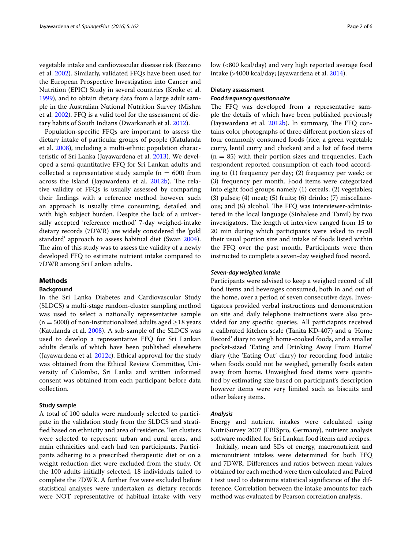vegetable intake and cardiovascular disease risk (Bazzano et al. [2002](#page-4-1)). Similarly, validated FFQs have been used for the European Prospective Investigation into Cancer and Nutrition (EPIC) Study in several countries (Kroke et al. [1999](#page-5-6)), and to obtain dietary data from a large adult sample in the Australian National Nutrition Survey (Mishra et al. [2002\)](#page-5-7). FFQ is a valid tool for the assessment of dietary habits of South Indians (Dwarkanath et al. [2012](#page-5-8)).

Population-specific FFQs are important to assess the dietary intake of particular groups of people (Katulanda et al. [2008\)](#page-5-4), including a multi-ethnic population characteristic of Sri Lanka (Jayawardena et al. [2013\)](#page-5-3). We developed a semi-quantitative FFQ for Sri Lankan adults and collected a representative study sample ( $n = 600$ ) from across the island (Jayawardena et al. [2012b](#page-5-9)). The relative validity of FFQs is usually assessed by comparing their findings with a reference method however such an approach is usually time consuming, detailed and with high subject burden. Despite the lack of a universally accepted 'reference method' 7-day weighed-intake dietary records (7DWR) are widely considered the 'gold standard' approach to assess habitual diet (Swan [2004](#page-5-10)). The aim of this study was to assess the validity of a newly developed FFQ to estimate nutrient intake compared to 7DWR among Sri Lankan adults.

## **Methods**

## **Background**

In the Sri Lanka Diabetes and Cardiovascular Study (SLDCS) a multi-stage random-cluster sampling method was used to select a nationally representative sample (n = 5000) of non-institutionalized adults aged  $\geq$  18 years (Katulanda et al. [2008](#page-5-4)). A sub-sample of the SLDCS was used to develop a representative FFQ for Sri Lankan adults details of which have been published elsewhere (Jayawardena et al. [2012c\)](#page-5-11). Ethical approval for the study was obtained from the Ethical Review Committee, University of Colombo, Sri Lanka and written informed consent was obtained from each participant before data collection.

#### **Study sample**

A total of 100 adults were randomly selected to participate in the validation study from the SLDCS and stratified based on ethnicity and area of residence. Ten clusters were selected to represent urban and rural areas, and main ethnicities and each had ten participants. Participants adhering to a prescribed therapeutic diet or on a weight reduction diet were excluded from the study. Of the 100 adults initially selected, 18 individuals failed to complete the 7DWR. A further five were excluded before statistical analyses were undertaken as dietary records were NOT representative of habitual intake with very low (<800 kcal/day) and very high reported average food intake (>4000 kcal/day; Jayawardena et al. [2014](#page-5-0)).

## **Dietary assessment**

#### *Food frequency questionnaire*

The FFQ was developed from a representative sample the details of which have been published previously (Jayawardena et al. [2012b\)](#page-5-9). In summary, The FFQ contains color photographs of three different portion sizes of four commonly consumed foods (rice, a green vegetable curry, lentil curry and chicken) and a list of food items  $(n = 85)$  with their portion sizes and frequencies. Each respondent reported consumption of each food according to (1) frequency per day; (2) frequency per week; or (3) frequency per month. Food items were categorized into eight food groups namely (1) cereals; (2) vegetables; (3) pulses; (4) meat; (5) fruits; (6) drinks; (7) miscellaneous; and (8) alcohol. The FFQ was interviewer-administered in the local language (Sinhalese and Tamil) by two investigators. The length of interview ranged from 15 to 20 min during which participants were asked to recall their usual portion size and intake of foods listed within the FFQ over the past month. Participants were then instructed to complete a seven-day weighed food record.

#### *Seven‑day weighed intake*

Participants were advised to keep a weighed record of all food items and beverages consumed, both in and out of the home, over a period of seven consecutive days. Investigators provided verbal instructions and demonstration on site and daily telephone instructions were also provided for any specific queries. All particiapnts received a calibrated kitchen scale (Tanita KD-407) and a 'Home Record' diary to weigh home-cooked foods, and a smaller pocket-sized 'Eating and Drinking Away From Home' diary (the 'Eating Out' diary) for recording food intake when foods could not be weighed, generally foods eaten away from home. Unweighed food items were quantified by estimating size based on participant's description however items were very limited such as biscuits and other bakery items.

#### *Analysis*

Energy and nutrient intakes were calculated using NutriSurvey 2007 (EBISpro, Germany), nutrient analysis software modified for Sri Lankan food items and recipes.

Initially, mean and SDs of energy, macronutrient and micronutrient intakes were determined for both FFQ and 7DWR. Differences and ratios between mean values obtained for each method were then calculated and Paired t test used to determine statistical significance of the difference. Correlation between the intake amounts for each method was evaluated by Pearson correlation analysis.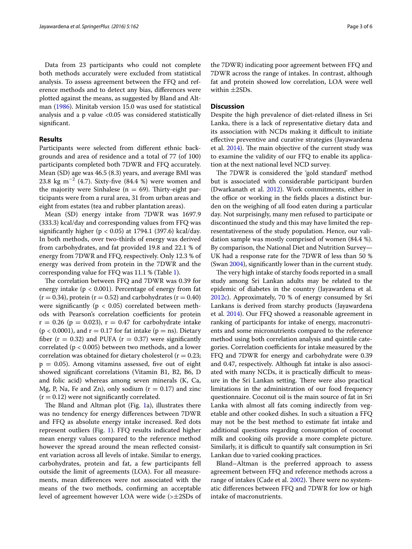Data from 23 participants who could not complete both methods accurately were excluded from statistical analysis. To assess agreement between the FFQ and reference methods and to detect any bias, differences were plotted against the means, as suggested by Bland and Altman ([1986\)](#page-4-2). Minitab version 15.0 was used for statistical analysis and a p value  $< 0.05$  was considered statistically significant.

## **Results**

Participants were selected from different ethnic backgrounds and area of residence and a total of 77 (of 100) participants completed both 7DWR and FFQ accurately. Mean (SD) age was 46.5 (8.3) years, and average BMI was 23.8 kg m<sup>-2</sup> (4.7). Sixty-five (84.4 %) were women and the majority were Sinhalese ( $n = 69$ ). Thirty-eight participants were from a rural area, 31 from urban areas and eight from estates (tea and rubber plantation areas).

Mean (SD) energy intake from 7DWR was 1697.9 (333.3) kcal/day and corresponding values from FFQ was significantly higher ( $p < 0.05$ ) at 1794.1 (397.6) kcal/day. In both methods, over two-thirds of energy was derived from carbohydrates, and fat provided 19.8 and 22.1 % of energy from 7DWR and FFQ, respectively. Only 12.3 % of energy was derived from protein in the 7DWR and the corresponding value for FFQ was 11.1 % (Table [1\)](#page-3-0).

The correlation between FFQ and 7DWR was 0.39 for energy intake ( $p < 0.001$ ). Percentage of energy from fat  $(r = 0.34)$ , protein  $(r = 0.52)$  and carbohydrates  $(r = 0.40)$ were significantly ( $p < 0.05$ ) correlated between methods with Pearson's correlation coefficients for protein  $r = 0.26$  (p = 0.023),  $r = 0.47$  for carbohydrate intake  $(p < 0.0001)$ , and  $r = 0.17$  for fat intake  $(p = ns)$ . Dietary fiber ( $r = 0.32$ ) and PUFA ( $r = 0.37$ ) were significantly correlated (p < 0.005) between two methods, and a lower correlation was obtained for dietary cholesterol ( $r = 0.23$ ;  $p = 0.05$ ). Among vitamins assessed, five out of eight showed significant correlations (Vitamin B1, B2, B6, D and folic acid) whereas among seven minerals (K, Ca, Mg, P, Na, Fe and Zn), only sodium ( $r = 0.17$ ) and zinc  $(r = 0.12)$  were not significantly correlated.

The Bland and Altman plot (Fig. [1](#page-4-3)a), illustrates there was no tendency for energy differences between 7DWR and FFQ as absolute energy intake increased. Red dots represent outliers (Fig. [1](#page-4-3)). FFQ results indicated higher mean energy values compared to the reference method however the spread around the mean reflected consistent variation across all levels of intake. Similar to energy, carbohydrates, protein and fat, a few participants fell outside the limit of agreements (LOA). For all measurements, mean differences were not associated with the means of the two methods, confirming an acceptable level of agreement however LOA were wide (>±2SDs of

the 7DWR) indicating poor agreement between FFQ and 7DWR across the range of intakes. In contrast, although fat and protein showed low correlation, LOA were well within ±2SDs.

#### **Discussion**

Despite the high prevalence of diet-related illness in Sri Lanka, there is a lack of representative dietary data and its association with NCDs making it difficult to initiate effective preventive and curative strategies (Jayawardena et al. [2014](#page-5-0)). The main objective of the current study was to examine the validity of our FFQ to enable its application at the next national level NCD survey.

The 7DWR is considered the 'gold standard' method but is associated with considerable participant burden (Dwarkanath et al. [2012](#page-5-8)). Work commitments, either in the office or working in the fields places a distinct burden on the weighing of all food eaten during a particular day. Not surprisingly, many men refused to participate or discontinued the study and this may have limited the representativeness of the study population. Hence, our validation sample was mostly comprised of women (84.4 %). By comparison, the National Diet and Nutrition Survey— UK had a response rate for the 7DWR of less than 50 % (Swan [2004\)](#page-5-10), significantly lower than in the current study.

The very high intake of starchy foods reported in a small study among Sri Lankan adults may be related to the epidemic of diabetes in the country (Jayawardena et al. [2012c](#page-5-11)). Approximately, 70 % of energy consumed by Sri Lankans is derived from starchy products (Jayawardena et al. [2014](#page-5-0)). Our FFQ showed a reasonable agreement in ranking of participants for intake of energy, macronutrients and some micronutrients compared to the reference method using both correlation analysis and quintile categories. Correlation coefficients for intake measured by the FFQ and 7DWR for energy and carbohydrate were 0.39 and 0.47, respectively. Although fat intake is also associated with many NCDs, it is practically difficult to measure in the Sri Lankan setting. There were also practical limitations in the administration of our food frequency questionnaire. Coconut oil is the main source of fat in Sri Lanka with almost all fats coming indirectly from vegetable and other cooked dishes. In such a situation a FFQ may not be the best method to estimate fat intake and additional questions regarding consumption of coconut milk and cooking oils provide a more complete picture. Similarly, it is difficult to quantify salt consumption in Sri Lankan due to varied cooking practices.

Bland–Altman is the preferred approach to assess agreement between FFQ and reference methods across a range of intakes (Cade et al. [2002\)](#page-4-0). There were no systematic differences between FFQ and 7DWR for low or high intake of macronutrients.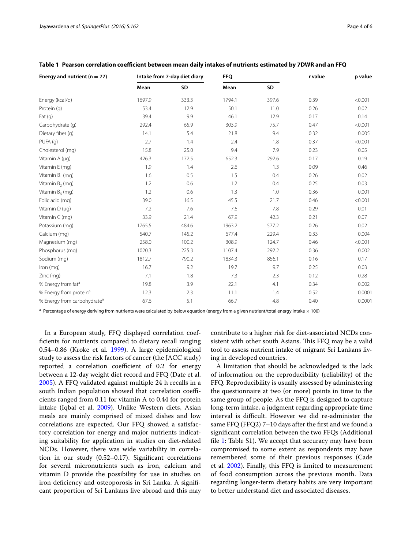| Energy and nutrient ( $n = 77$ )        | Intake from 7-day diet diary |       | <b>FFQ</b> |       | r value | p value |
|-----------------------------------------|------------------------------|-------|------------|-------|---------|---------|
|                                         | Mean                         | SD    | Mean       | SD    |         |         |
| Energy (kcal/d)                         | 1697.9                       | 333.3 | 1794.1     | 397.6 | 0.39    | < 0.001 |
| Protein (q)                             | 53.4                         | 12.9  | 50.1       | 11.0  | 0.26    | 0.02    |
| Fat $(q)$                               | 39.4                         | 9.9   | 46.1       | 12.9  | 0.17    | 0.14    |
| Carbohydrate (q)                        | 292.4                        | 65.9  | 303.9      | 75.7  | 0.47    | < 0.001 |
| Dietary fiber (g)                       | 14.1                         | 5.4   | 21.8       | 9.4   | 0.32    | 0.005   |
| PUFA (q)                                | 2.7                          | 1.4   | 2.4        | 1.8   | 0.37    | < 0.001 |
| Cholesterol (mg)                        | 15.8                         | 25.0  | 9.4        | 7.9   | 0.23    | 0.05    |
| Vitamin A (µq)                          | 426.3                        | 172.5 | 652.3      | 292.6 | 0.17    | 0.19    |
| Vitamin E (mg)                          | 1.9                          | 1.4   | 2.6        | 1.3   | 0.09    | 0.46    |
| Vitamin $B_1$ (mg)                      | 1.6                          | 0.5   | 1.5        | 0.4   | 0.26    | 0.02    |
| Vitamin $B_2$ (mg)                      | 1.2                          | 0.6   | 1.2        | 0.4   | 0.25    | 0.03    |
| Vitamin $B_6$ (mg)                      | 1.2                          | 0.6   | 1.3        | 1.0   | 0.36    | 0.001   |
| Folic acid (mg)                         | 39.0                         | 16.5  | 45.5       | 21.7  | 0.46    | < 0.001 |
| Vitamin $D(\mu q)$                      | 7.2                          | 7.6   | 7.6        | 7.8   | 0.29    | 0.01    |
| Vitamin C (mg)                          | 33.9                         | 21.4  | 67.9       | 42.3  | 0.21    | 0.07    |
| Potassium (mg)                          | 1765.5                       | 484.6 | 1963.2     | 577.2 | 0.26    | 0.02    |
| Calcium (mg)                            | 540.7                        | 145.2 | 677.4      | 229.4 | 0.33    | 0.004   |
| Magnesium (mg)                          | 258.0                        | 100.2 | 308.9      | 124.7 | 0.46    | < 0.001 |
| Phosphorus (mg)                         | 1020.3                       | 225.3 | 1107.4     | 292.2 | 0.36    | 0.002   |
| Sodium (mg)                             | 1812.7                       | 790.2 | 1834.3     | 856.1 | 0.16    | 0.17    |
| Iron (mg)                               | 16.7                         | 9.2   | 19.7       | 9.7   | 0.25    | 0.03    |
| Zinc (mg)                               | 7.1                          | 1.8   | 7.3        | 2.3   | 0.12    | 0.28    |
| % Energy from fat <sup>a</sup>          | 19.8                         | 3.9   | 22.1       | 4.1   | 0.34    | 0.002   |
| % Energy from protein <sup>a</sup>      | 12.3                         | 2.3   | 11.1       | 1.4   | 0.52    | 0.0001  |
| % Energy from carbohydrate <sup>a</sup> | 67.6                         | 5.1   | 66.7       | 4.8   | 0.40    | 0.0001  |

<span id="page-3-0"></span>**Table 1 Pearson correlation coefficient between mean daily intakes of nutrients estimated by 7DWR and an FFQ**

<sup>a</sup> Percentage of energy deriving from nutrients were calculated by below equation (energy from a given nutrient/total energy intake  $\times$  100)

In a European study, FFQ displayed correlation coefficients for nutrients compared to dietary recall ranging 0.54–0.86 (Kroke et al. [1999\)](#page-5-6). A large epidemiological study to assess the risk factors of cancer (the JACC study) reported a correlation coefficient of 0.2 for energy between a 12-day weight diet record and FFQ (Date et al. [2005](#page-5-12)). A FFQ validated against multiple 24 h recalls in a south Indian population showed that correlation coefficients ranged from 0.11 for vitamin A to 0.44 for protein intake (Iqbal et al. [2009](#page-5-13)). Unlike Western diets, Asian meals are mainly comprised of mixed dishes and low correlations are expected. Our FFQ showed a satisfactory correlation for energy and major nutrients indicating suitability for application in studies on diet-related NCDs. However, there was wide variability in correlation in our study (0.52–0.17). Significant correlations for several micronutrients such as iron, calcium and vitamin D provide the possibility for use in studies on iron deficiency and osteoporosis in Sri Lanka. A significant proportion of Sri Lankans live abroad and this may contribute to a higher risk for diet-associated NCDs consistent with other south Asians. This FFQ may be a valid tool to assess nutrient intake of migrant Sri Lankans living in developed countries.

A limitation that should be acknowledged is the lack of information on the reproducibility (reliability) of the FFQ. Reproducibility is usually assessed by administering the questionnaire at two (or more) points in time to the same group of people. As the FFQ is designed to capture long-term intake, a judgment regarding appropriate time interval is difficult. However we did re-administer the same FFQ (FFQ2) 7–10 days after the first and we found a significant correlation between the two FFQs (Additional file [1:](#page-4-4) Table S1). We accept that accuracy may have been compromised to some extent as respondents may have remembered some of their previous responses (Cade et al. [2002](#page-4-0)). Finally, this FFQ is limited to measurement of food consumption across the previous month. Data regarding longer-term dietary habits are very important to better understand diet and associated diseases.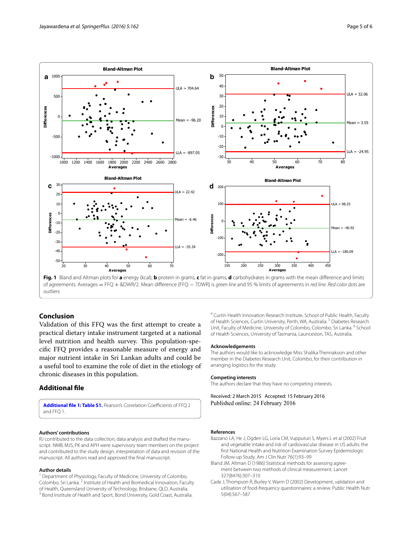

<span id="page-4-3"></span>of agreements. Averages = FFQ + &DWR/2. Mean difference (FFQ − 7DWR) is *green line* and 95 % limits of agreements in *red line*. *Red color dots* are outliers

## **Conclusion**

Validation of this FFQ was the first attempt to create a practical dietary intake instrument targeted at a national level nutrition and health survey. This population-specific FFQ provides a reasonable measure of energy and major nutrient intake in Sri Lankan adults and could be a useful tool to examine the role of diet in the etiology of chronic diseases in this population.

#### **Additional file**

<span id="page-4-4"></span>**[Additional file 1: Table S1.](http://dx.doi.org/10.1186/s40064-016-1837-x)** Pearson's Correlation Coefficients of FFQ 2 and FFQ 1.

#### **Authors' contributions**

RJ contributed to the data collection, data analysis and drafted the manuscript. NMB, MJS, PK and APH were supervisory team members on the project and contributed to the study design, interpretation of data and revision of the manuscript. All authors read and approved the final manuscript.

#### **Author details**

<sup>1</sup> Department of Physiology, Faculty of Medicine, University of Colombo, Colombo, Sri Lanka. <sup>2</sup> Institute of Health and Biomedical Innovation, Faculty of Health, Queensland University of Technology, Brisbane, QLD, Australia. 3 Bond Institute of Health and Sport, Bond University, Gold Coast, Australia.

<sup>4</sup> Curtin Health Innovation Research Institute, School of Public Health, Faculty of Health Sciences, Curtin University, Perth, WA, Australia. <sup>5</sup> Diabetes Research Unit, Faculty of Medicine, University of Colombo, Colombo, Sri Lanka. <sup>6</sup> School of Health Sciences, University of Tasmania, Launceston, TAS, Australia.

#### **Acknowledgements**

The authors would like to acknowledge Miss Shalika Thennakoon and other member in the Diabetes Research Unit, Colombo, for their contribution in arranging logistics for the study.

#### **Competing interests**

The authors declare that they have no competing interests.

Received: 2 March 2015 Accepted: 15 February 2016 Published online: 24 February 2016

#### **References**

- <span id="page-4-1"></span>Bazzano LA, He J, Ogden LG, Loria CM, Vupputuri S, Myers L et al (2002) Fruit and vegetable intake and risk of cardiovascular disease in US adults: the first National Health and Nutrition Examination Survey Epidemiologic Follow-up Study. Am J Clin Nutr 76(1):93–99
- <span id="page-4-2"></span>Bland JM, Altman D (1986) Statistical methods for assessing agreement between two methods of clinical measurement. Lancet 327(8476):307–310
- <span id="page-4-0"></span>Cade J, Thompson R, Burley V, Warm D (2002) Development, validation and utilisation of food-frequency questionnaires: a review. Public Health Nutr 5(04):567–587